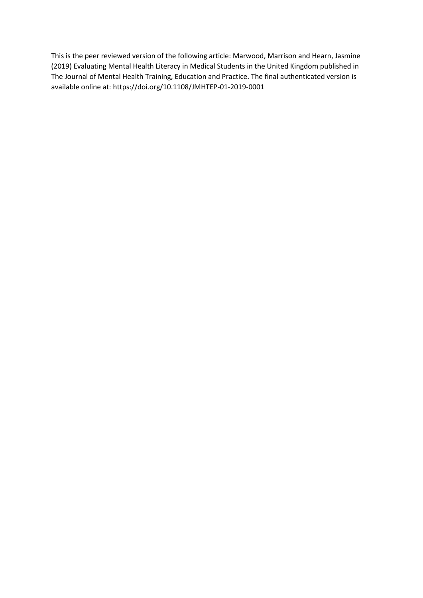This is the peer reviewed version of the following article: Marwood, Marrison and Hearn, Jasmine (2019) Evaluating Mental Health Literacy in Medical Students in the United Kingdom published in The Journal of Mental Health Training, Education and Practice. The final authenticated version is available online at: https://doi.org/10.1108/JMHTEP-01-2019-0001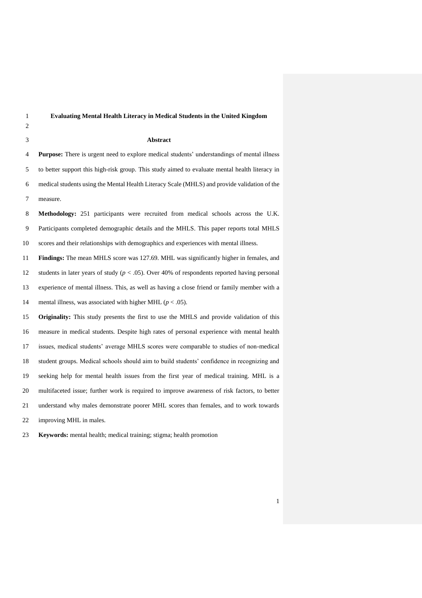| $\mathbf{1}$   | <b>Evaluating Mental Health Literacy in Medical Students in the United Kingdom</b>                 |
|----------------|----------------------------------------------------------------------------------------------------|
| $\overline{c}$ |                                                                                                    |
| 3              | Abstract                                                                                           |
| 4              | <b>Purpose:</b> There is urgent need to explore medical students' understandings of mental illness |
| 5              | to better support this high-risk group. This study aimed to evaluate mental health literacy in     |
| 6              | medical students using the Mental Health Literacy Scale (MHLS) and provide validation of the       |
| $\overline{7}$ | measure.                                                                                           |
| 8              | Methodology: 251 participants were recruited from medical schools across the U.K.                  |
| 9              | Participants completed demographic details and the MHLS. This paper reports total MHLS             |
| 10             | scores and their relationships with demographics and experiences with mental illness.              |
| $11\,$         | Findings: The mean MHLS score was 127.69. MHL was significantly higher in females, and             |
| 12             | students in later years of study ( $p < .05$ ). Over 40% of respondents reported having personal   |
| 13             | experience of mental illness. This, as well as having a close friend or family member with a       |
| 14             | mental illness, was associated with higher MHL ( $p < .05$ ).                                      |
| 15             | <b>Originality:</b> This study presents the first to use the MHLS and provide validation of this   |
| 16             | measure in medical students. Despite high rates of personal experience with mental health          |
| 17             | issues, medical students' average MHLS scores were comparable to studies of non-medical            |
| 18             | student groups. Medical schools should aim to build students' confidence in recognizing and        |
| 19             | seeking help for mental health issues from the first year of medical training. MHL is a            |
| 20             | multifaceted issue; further work is required to improve awareness of risk factors, to better       |
| 21             | understand why males demonstrate poorer MHL scores than females, and to work towards               |
| 22             | improving MHL in males.                                                                            |

**Keywords:** mental health; medical training; stigma; health promotion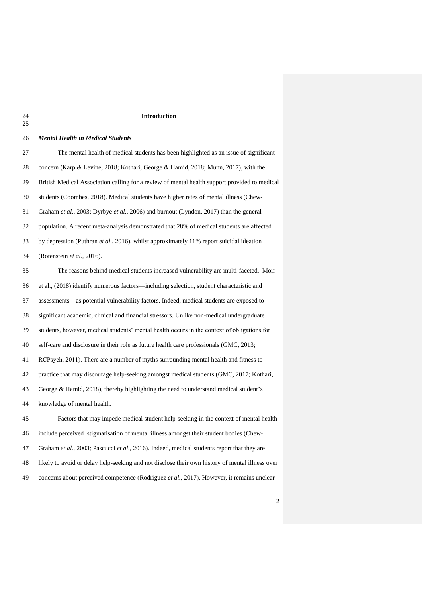## Introduction

 $rac{24}{25}$ 

| 26     | <b>Mental Health in Medical Students</b>                                                        |
|--------|-------------------------------------------------------------------------------------------------|
| 27     | The mental health of medical students has been highlighted as an issue of significant           |
| $28\,$ | concern (Karp & Levine, 2018; Kothari, George & Hamid, 2018; Munn, 2017), with the              |
| 29     | British Medical Association calling for a review of mental health support provided to medical   |
| 30     | students (Coombes, 2018). Medical students have higher rates of mental illness (Chew-           |
| 31     | Graham et al., 2003; Dyrbye et al., 2006) and burnout (Lyndon, 2017) than the general           |
| 32     | population. A recent meta-analysis demonstrated that 28% of medical students are affected       |
| 33     | by depression (Puthran et al., 2016), whilst approximately 11% report suicidal ideation         |
| 34     | (Rotenstein et al., 2016).                                                                      |
| 35     | The reasons behind medical students increased vulnerability are multi-faceted. Moir             |
| 36     | et al., (2018) identify numerous factors—including selection, student characteristic and        |
| 37     | assessments-as potential vulnerability factors. Indeed, medical students are exposed to         |
| 38     | significant academic, clinical and financial stressors. Unlike non-medical undergraduate        |
| 39     | students, however, medical students' mental health occurs in the context of obligations for     |
| 40     | self-care and disclosure in their role as future health care professionals (GMC, 2013;          |
| 41     | RCPsych, 2011). There are a number of myths surrounding mental health and fitness to            |
| 42     | practice that may discourage help-seeking amongst medical students (GMC, 2017; Kothari,         |
| 43     | George & Hamid, 2018), thereby highlighting the need to understand medical student's            |
| 44     | knowledge of mental health.                                                                     |
| 45     | Factors that may impede medical student help-seeking in the context of mental health            |
| 46     | include perceived stigmatisation of mental illness amongst their student bodies (Chew-          |
| 47     | Graham et al., 2003; Pascucci et al., 2016). Indeed, medical students report that they are      |
| 48     | likely to avoid or delay help-seeking and not disclose their own history of mental illness over |
| 49     | concerns about perceived competence (Rodriguez et al., 2017). However, it remains unclear       |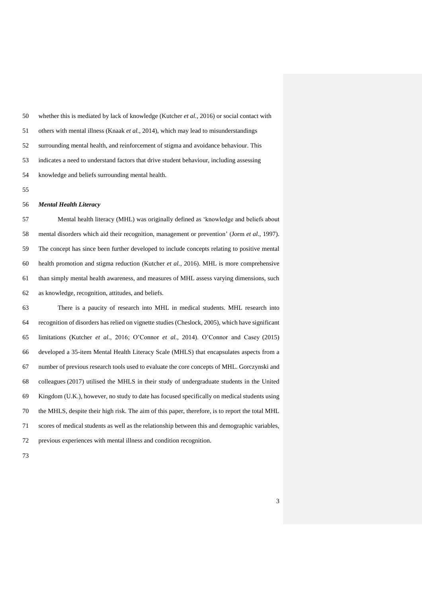| 50 | whether this is mediated by lack of knowledge (Kutcher <i>et al.</i> , 2016) or social contact with |
|----|-----------------------------------------------------------------------------------------------------|
| 51 | others with mental illness (Knaak <i>et al.</i> , 2014), which may lead to misunderstandings        |
| 52 | surrounding mental health, and reinforcement of stigma and avoidance behaviour. This                |
| 53 | indicates a need to understand factors that drive student behaviour, including assessing            |
| 54 | knowledge and beliefs surrounding mental health.                                                    |

#### *Mental Health Literacy*

 Mental health literacy (MHL) was originally defined as 'knowledge and beliefs about mental disorders which aid their recognition, management or prevention' (Jorm *et al*., 1997). The concept has since been further developed to include concepts relating to positive mental health promotion and stigma reduction (Kutcher *et al.*, 2016). MHL is more comprehensive than simply mental health awareness, and measures of MHL assess varying dimensions, such as knowledge, recognition, attitudes, and beliefs.

 There is a paucity of research into MHL in medical students. MHL research into recognition of disorders has relied on vignette studies (Cheslock, 2005), which have significant limitations (Kutcher *et al.*, 2016; O'Connor *et al.*, 2014). O'Connor and Casey (2015) developed a 35-item Mental Health Literacy Scale (MHLS) that encapsulates aspects from a number of previous research tools used to evaluate the core concepts of MHL. Gorczynski and colleagues (2017) utilised the MHLS in their study of undergraduate students in the United Kingdom (U.K.), however, no study to date has focused specifically on medical students using the MHLS, despite their high risk. The aim of this paper, therefore, is to report the total MHL scores of medical students as well as the relationship between this and demographic variables, previous experiences with mental illness and condition recognition.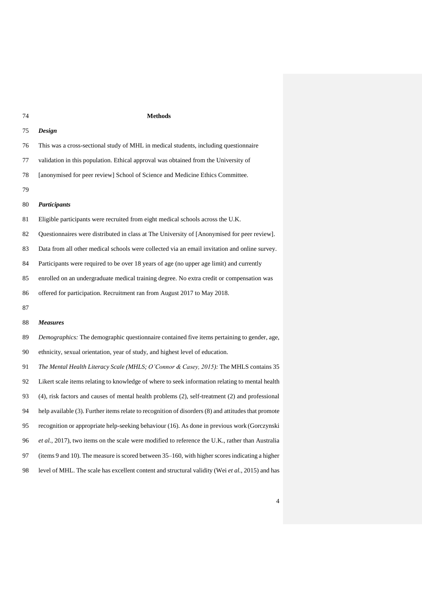#### **Methods**

| 75 | <b>Design</b>                                                                                 |
|----|-----------------------------------------------------------------------------------------------|
| 76 | This was a cross-sectional study of MHL in medical students, including questionnaire          |
| 77 | validation in this population. Ethical approval was obtained from the University of           |
| 78 | [anonymised for peer review] School of Science and Medicine Ethics Committee.                 |
| 79 |                                                                                               |
| 80 | <b>Participants</b>                                                                           |
| 81 | Eligible participants were recruited from eight medical schools across the U.K.               |
| 82 | Questionnaires were distributed in class at The University of [Anonymised for peer review].   |
| 83 | Data from all other medical schools were collected via an email invitation and online survey. |
| 84 | Participants were required to be over 18 years of age (no upper age limit) and currently      |
| 85 | enrolled on an undergraduate medical training degree. No extra credit or compensation was     |
| 86 | offered for participation. Recruitment ran from August 2017 to May 2018.                      |
| 87 |                                                                                               |
| 88 | <b>Measures</b>                                                                               |
| 89 | Demographics: The demographic questionnaire contained five items pertaining to gender, age,   |
| 90 | ethnicity, sexual orientation, year of study, and highest level of education.                 |
|    |                                                                                               |

 *The Mental Health Literacy Scale (MHLS; O'Connor & Casey, 2015):* The MHLS contains 35 Likert scale items relating to knowledge of where to seek information relating to mental health (4), risk factors and causes of mental health problems (2), self-treatment (2) and professional help available (3). Further items relate to recognition of disorders (8) and attitudes that promote recognition or appropriate help-seeking behaviour (16). As done in previous work (Gorczynski *et al.*, 2017), two items on the scale were modified to reference the U.K., rather than Australia (items 9 and 10). The measure is scored between 35–160, with higher scores indicating a higher level of MHL. The scale has excellent content and structural validity (Wei *et al.*, 2015) and has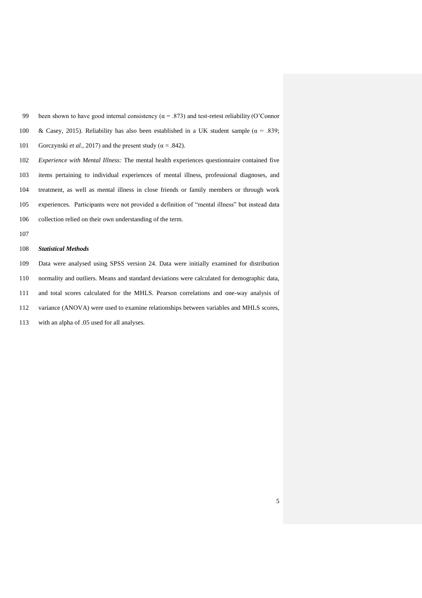99 been shown to have good internal consistency ( $\alpha$  = .873) and test-retest reliability (O'Connor 100 & Casey, 2015). Reliability has also been established in a UK student sample ( $\alpha$  = .839; 101 Gorczynski *et al.*, 2017) and the present study ( $\alpha$  = .842).

 *Experience with Mental Illness:* The mental health experiences questionnaire contained five items pertaining to individual experiences of mental illness, professional diagnoses, and treatment, as well as mental illness in close friends or family members or through work experiences. Participants were not provided a definition of "mental illness" but instead data collection relied on their own understanding of the term.

### *Statistical Methods*

 Data were analysed using SPSS version 24. Data were initially examined for distribution normality and outliers. Means and standard deviations were calculated for demographic data, and total scores calculated for the MHLS. Pearson correlations and one-way analysis of variance (ANOVA) were used to examine relationships between variables and MHLS scores, with an alpha of .05 used for all analyses.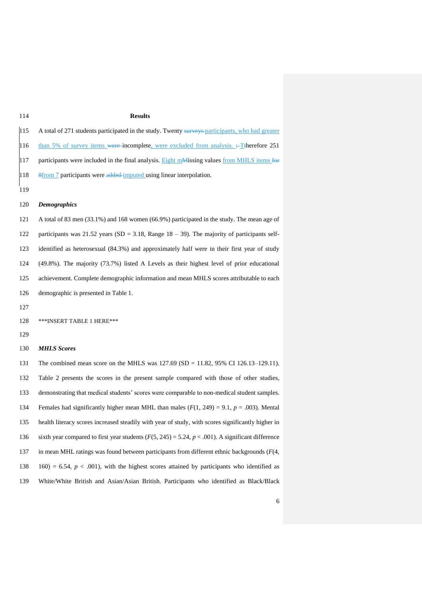#### **Results**

| 115 | A total of 271 students participated in the study. Twenty surveys-participants, who had greater |
|-----|-------------------------------------------------------------------------------------------------|
| 116 | than 5% of survey items were incomplete, were excluded from analysis. $\div$ Therefore 251      |
| 117 | participants were included in the final analysis. Eight maximum values from MHLS items for      |
| 118 | 8 8 8 5 8 5 8 6 7 participants were added imputed using linear interpolation.                   |
| 119 |                                                                                                 |

#### *Demographics*

 A total of 83 men (33.1%) and 168 women (66.9%) participated in the study. The mean age of participants was 21.52 years (SD = 3.18, Range 18 – 39). The majority of participants self- identified as heterosexual (84.3%) and approximately half were in their first year of study (49.8%). The majority (73.7%) listed A Levels as their highest level of prior educational achievement. Complete demographic information and mean MHLS scores attributable to each demographic is presented in Table 1.

\*\*\*INSERT TABLE 1 HERE\*\*\*

#### *MHLS Scores*

 The combined mean score on the MHLS was 127.69 (SD = 11.82, 95% CI 126.13–129.11). Table 2 presents the scores in the present sample compared with those of other studies, demonstrating that medical students' scores were comparable to non-medical student samples. Females had significantly higher mean MHL than males (*F*(1, 249) = 9.1, *p* = .003). Mental health literacy scores increased steadily with year of study, with scores significantly higher in sixth year compared to first year students (*F*(5, 245) = 5.24, *p* < .001). A significant difference in mean MHL ratings was found between participants from different ethnic backgrounds (*F*(4, 138 160) = 6.54,  $p < .001$ ), with the highest scores attained by participants who identified as White/White British and Asian/Asian British. Participants who identified as Black/Black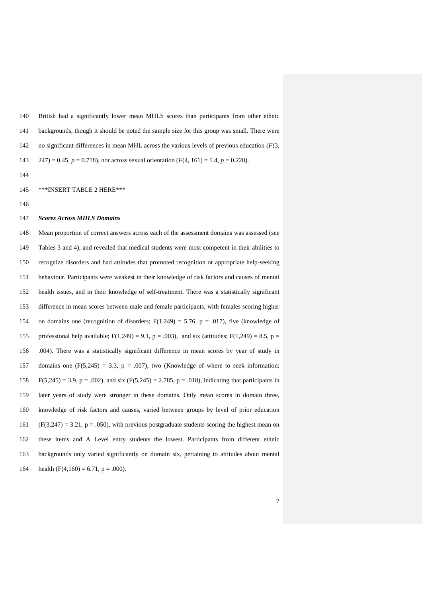British had a significantly lower mean MHLS scores than participants from other ethnic backgrounds, though it should be noted the sample size for this group was small. There were no significant differences in mean MHL across the various levels of previous education (*F*(3, 247) = 0.45, *p* = 0.718), nor across sexual orientation (*F*(4, 161) = 1.4, *p* = 0.228).

- 
- \*\*\*INSERT TABLE 2 HERE\*\*\*
- 

#### *Scores Across MHLS Domains*

 Mean proportion of correct answers across each of the assessment domains was assessed (see Tables 3 and 4), and revealed that medical students were most competent in their abilities to recognize disorders and had attitudes that promoted recognition or appropriate help-seeking behaviour. Participants were weakest in their knowledge of risk factors and causes of mental health issues, and in their knowledge of self-treatment. There was a statistically significant difference in mean scores between male and female participants, with females scoring higher 154 on domains one (recognition of disorders;  $F(1,249) = 5.76$ ,  $p = .017$ ), five (knowledge of 155 professional help available;  $F(1,249) = 9.1$ ,  $p = .003$ ), and six (attitudes;  $F(1,249) = 8.5$ ,  $p =$  .004). There was a statistically significant difference in mean scores by year of study in 157 domains one  $(F(5,245) = 3.3, p = .007)$ , two (Knowledge of where to seek information; 158 F(5,245) = 3.9, p = .002), and six  $(F(5,245) = 2.785, p = .018)$ , indicating that participants in later years of study were stronger in these domains. Only mean scores in domain three, knowledge of risk factors and causes, varied between groups by level of prior education 161 (F(3,247) = 3.21, p = .050), with previous postgraduate students scoring the highest mean on these items and A Level entry students the lowest. Participants from different ethnic backgrounds only varied significantly on domain six, pertaining to attitudes about mental 164 health  $(F(4,160) = 6.71, p = .000)$ .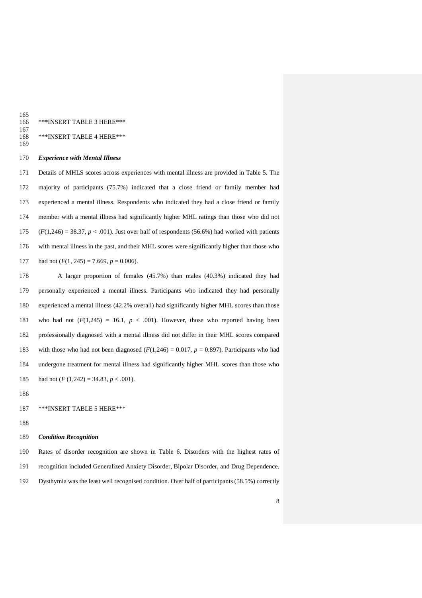165<br>166 \*\*\*INSERT TABLE 3 HERE\*\*\*

#### $\frac{167}{168}$ \*\*\*INSERT TABLE 4 HERE\*\*\*

#### *Experience with Mental Illness*

 Details of MHLS scores across experiences with mental illness are provided in Table 5. The majority of participants (75.7%) indicated that a close friend or family member had experienced a mental illness. Respondents who indicated they had a close friend or family member with a mental illness had significantly higher MHL ratings than those who did not  $(F(1,246) = 38.37, p < .001)$ . Just over half of respondents (56.6%) had worked with patients with mental illness in the past, and their MHL scores were significantly higher than those who 177 had not  $(F(1, 245) = 7.669, p = 0.006)$ .

 A larger proportion of females (45.7%) than males (40.3%) indicated they had personally experienced a mental illness. Participants who indicated they had personally experienced a mental illness (42.2% overall) had significantly higher MHL scores than those 181 who had not  $(F(1,245) = 16.1, p < .001)$ . However, those who reported having been professionally diagnosed with a mental illness did not differ in their MHL scores compared 183 with those who had not been diagnosed  $(F(1,246) = 0.017, p = 0.897)$ . Participants who had undergone treatment for mental illness had significantly higher MHL scores than those who 185 had not  $(F (1,242) = 34.83, p < .001)$ .

## \*\*\*INSERT TABLE 5 HERE\*\*\*

# *Condition Recognition*

 Rates of disorder recognition are shown in Table 6. Disorders with the highest rates of recognition included Generalized Anxiety Disorder, Bipolar Disorder, and Drug Dependence. Dysthymia was the least well recognised condition. Over half of participants (58.5%) correctly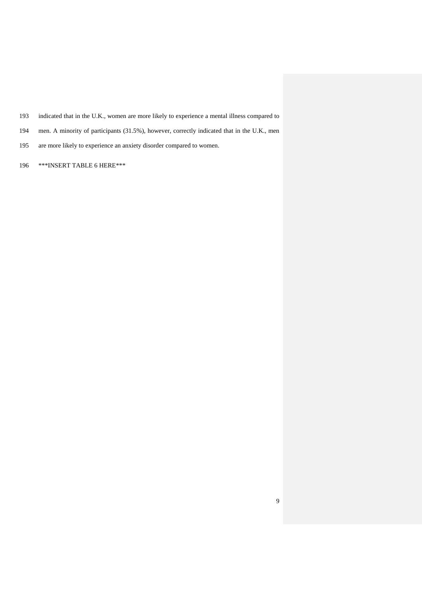- indicated that in the U.K., women are more likely to experience a mental illness compared to
- men. A minority of participants (31.5%), however, correctly indicated that in the U.K., men
- are more likely to experience an anxiety disorder compared to women.
- \*\*\*INSERT TABLE 6 HERE\*\*\*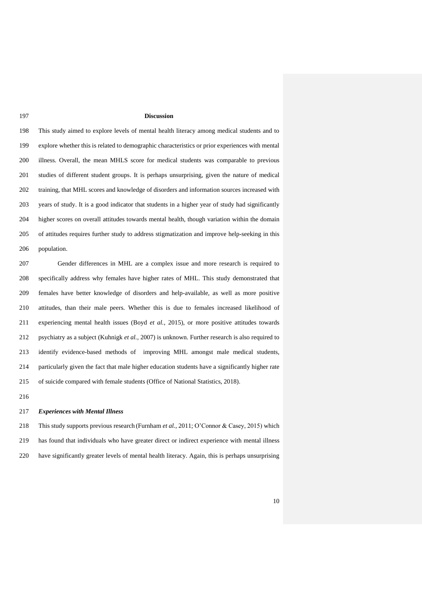#### **Discussion**

 This study aimed to explore levels of mental health literacy among medical students and to explore whether this is related to demographic characteristics or prior experiences with mental illness. Overall, the mean MHLS score for medical students was comparable to previous studies of different student groups. It is perhaps unsurprising, given the nature of medical training, that MHL scores and knowledge of disorders and information sources increased with years of study. It is a good indicator that students in a higher year of study had significantly higher scores on overall attitudes towards mental health, though variation within the domain of attitudes requires further study to address stigmatization and improve help-seeking in this population.

 Gender differences in MHL are a complex issue and more research is required to specifically address why females have higher rates of MHL. This study demonstrated that females have better knowledge of disorders and help-available, as well as more positive attitudes, than their male peers. Whether this is due to females increased likelihood of experiencing mental health issues (Boyd *et al.,* 2015), or more positive attitudes towards psychiatry as a subject (Kuhnigk *et al.,* 2007) is unknown. Further research is also required to identify evidence-based methods of improving MHL amongst male medical students, particularly given the fact that male higher education students have a significantly higher rate of suicide compared with female students (Office of National Statistics, 2018).

#### *Experiences with Mental Illness*

 This study supports previous research (Furnham *et al.*, 2011; O'Connor & Casey, 2015) which has found that individuals who have greater direct or indirect experience with mental illness have significantly greater levels of mental health literacy. Again, this is perhaps unsurprising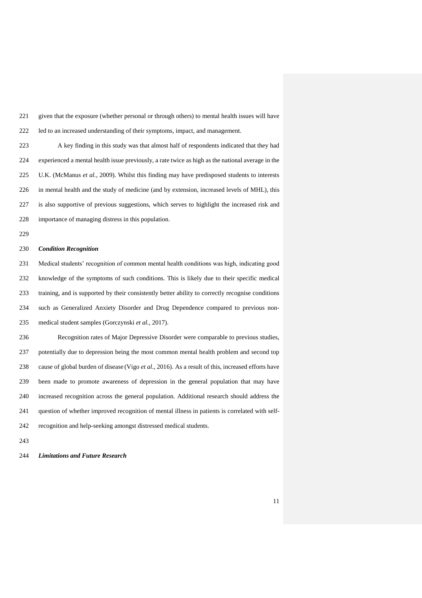given that the exposure (whether personal or through others) to mental health issues will have led to an increased understanding of their symptoms, impact, and management.

 A key finding in this study was that almost half of respondents indicated that they had experienced a mental health issue previously, a rate twice as high as the national average in the U.K. (McManus *et al.*, 2009). Whilst this finding may have predisposed students to interests in mental health and the study of medicine (and by extension, increased levels of MHL), this is also supportive of previous suggestions, which serves to highlight the increased risk and importance of managing distress in this population.

#### *Condition Recognition*

 Medical students' recognition of common mental health conditions was high, indicating good knowledge of the symptoms of such conditions. This is likely due to their specific medical training, and is supported by their consistently better ability to correctly recognise conditions such as Generalized Anxiety Disorder and Drug Dependence compared to previous non-medical student samples (Gorczynski *et al.*, 2017).

 Recognition rates of Major Depressive Disorder were comparable to previous studies, potentially due to depression being the most common mental health problem and second top cause of global burden of disease (Vigo *et al.*, 2016). As a result of this, increased efforts have been made to promote awareness of depression in the general population that may have increased recognition across the general population. Additional research should address the question of whether improved recognition of mental illness in patients is correlated with self-recognition and help-seeking amongst distressed medical students.

*Limitations and Future Research*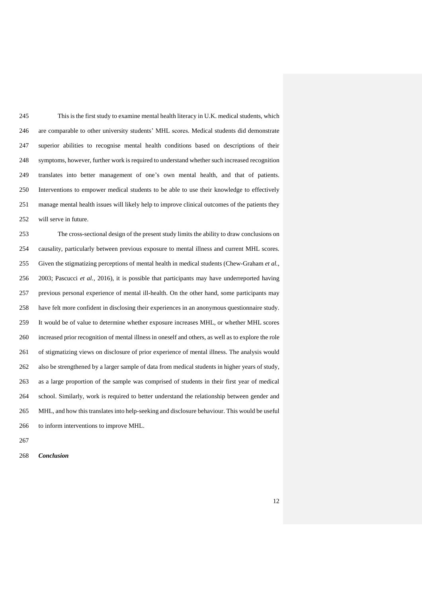This is the first study to examine mental health literacy in U.K. medical students, which are comparable to other university students' MHL scores. Medical students did demonstrate superior abilities to recognise mental health conditions based on descriptions of their symptoms, however, further work is required to understand whether such increased recognition translates into better management of one's own mental health, and that of patients. Interventions to empower medical students to be able to use their knowledge to effectively manage mental health issues will likely help to improve clinical outcomes of the patients they will serve in future.

 The cross-sectional design of the present study limits the ability to draw conclusions on causality, particularly between previous exposure to mental illness and current MHL scores. Given the stigmatizing perceptions of mental health in medical students (Chew-Graham *et al.*, 2003; Pascucci *et al.,* 2016), it is possible that participants may have underreported having previous personal experience of mental ill-health. On the other hand, some participants may have felt more confident in disclosing their experiences in an anonymous questionnaire study. It would be of value to determine whether exposure increases MHL, or whether MHL scores increased prior recognition of mental illness in oneself and others, as well as to explore the role of stigmatizing views on disclosure of prior experience of mental illness. The analysis would also be strengthened by a larger sample of data from medical students in higher years of study, as a large proportion of the sample was comprised of students in their first year of medical school. Similarly, work is required to better understand the relationship between gender and MHL, and how this translates into help-seeking and disclosure behaviour. This would be useful to inform interventions to improve MHL.

*Conclusion*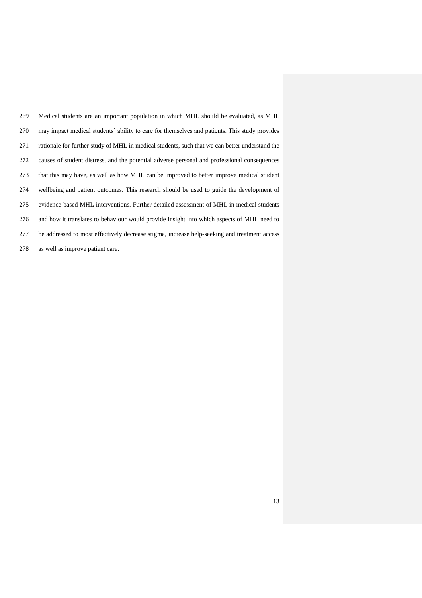| 269 | Medical students are an important population in which MHL should be evaluated, as MHL          |
|-----|------------------------------------------------------------------------------------------------|
| 270 | may impact medical students' ability to care for themselves and patients. This study provides  |
| 271 | rationale for further study of MHL in medical students, such that we can better understand the |
| 272 | causes of student distress, and the potential adverse personal and professional consequences   |
| 273 | that this may have, as well as how MHL can be improved to better improve medical student       |
| 274 | wellbeing and patient outcomes. This research should be used to guide the development of       |
| 275 | evidence-based MHL interventions. Further detailed assessment of MHL in medical students       |
| 276 | and how it translates to behaviour would provide insight into which aspects of MHL need to     |
| 277 | be addressed to most effectively decrease stigma, increase help-seeking and treatment access   |
| 278 | as well as improve patient care.                                                               |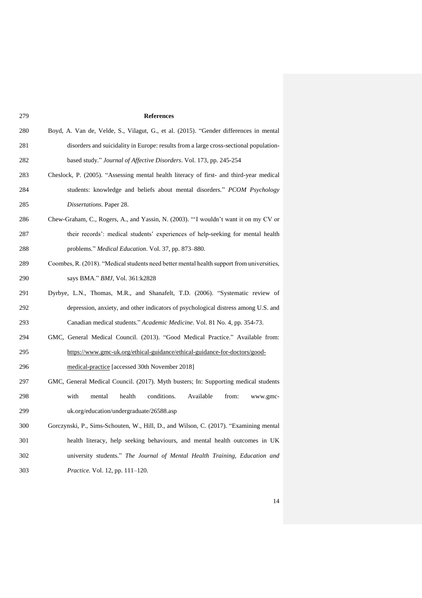**References** Boyd, A. Van de, Velde, S., Vilagut, G., et al. (2015). "Gender differences in mental disorders and suicidality in Europe: results from a large cross-sectional population- based study." *Journal of Affective Disorders*. Vol. 173, pp. 245-254 Cheslock, P. (2005). "Assessing mental health literacy of first- and third-year medical students: knowledge and beliefs about mental disorders." *PCOM Psychology Dissertations.* Paper 28. Chew-Graham, C., Rogers, A., and Yassin, N. (2003). "'I wouldn't want it on my CV or their records': medical students' experiences of help-seeking for mental health problems." *Medical Education*. Vol. 37, pp. 873–880. Coombes, R. (2018). "Medical students need better mental health support from universities, says BMA." *BMJ*, Vol. 361:k2828 Dyrbye, L.N., Thomas, M.R., and Shanafelt, T.D. (2006). "Systematic review of depression, anxiety, and other indicators of psychological distress among U.S. and Canadian medical students." *Academic Medicine*. Vol. 81 No. 4, pp. 354-73. GMC, General Medical Council. (2013). "Good Medical Practice." Available from: [https://www.gmc-uk.org/ethical-guidance/ethical-guidance-for-doctors/good-](https://www.gmc-uk.org/ethical-guidance/ethical-guidance-for-doctors/good-medical-practice) [medical-practice](https://www.gmc-uk.org/ethical-guidance/ethical-guidance-for-doctors/good-medical-practice) [accessed 30th November 2018] GMC, General Medical Council. (2017). Myth busters; In: Supporting medical students with mental health conditions. Available from: www.gmc- uk.org/education/undergraduate/26588.asp Gorczynski, P., Sims-Schouten, W., Hill, D., and Wilson, C. (2017). "Examining mental health literacy, help seeking behaviours, and mental health outcomes in UK university students." *The Journal of Mental Health Training, Education and Practice.* Vol. 12, pp. 111–120.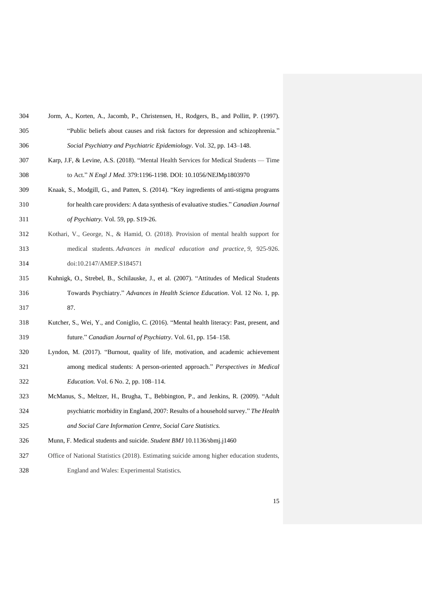| 304 | Jorm, A., Korten, A., Jacomb, P., Christensen, H., Rodgers, B., and Pollitt, P. (1997). |
|-----|-----------------------------------------------------------------------------------------|
| 305 | "Public beliefs about causes and risk factors for depression and schizophrenia."        |
| 306 | Social Psychiatry and Psychiatric Epidemiology. Vol. 32, pp. 143–148.                   |

- Karp, J.F, & Levine, A.S. (2018). "Mental Health Services for Medical Students Time to Act." *N Engl J Med.* 379:1196-1198. DOI: 10.1056/NEJMp1803970
- Knaak, S., Modgill, G., and Patten, S. (2014). "Key ingredients of anti-stigma programs for health care providers: A data synthesis of evaluative studies." *Canadian Journal of Psychiatry.* Vol. 59, pp. S19-26.
- Kothari, V., George, N., & Hamid, O. (2018). Provision of mental health support for medical students. *Advances in medical education and practice*, *9*, 925-926. doi:10.2147/AMEP.S184571
- Kuhnigk, O., Strebel, B., Schilauske, J., et al. (2007). "Attitudes of Medical Students Towards Psychiatry." *Advances in Health Science Education*. Vol. 12 No. 1, pp. 87.
- Kutcher, S., Wei, Y., and Coniglio, C. (2016). "Mental health literacy: Past, present, and future." *Canadian Journal of Psychiatry*. Vol. 61, pp. 154–158.
- Lyndon, M. (2017). "Burnout, quality of life, motivation, and academic achievement among medical students: A person-oriented approach." *Perspectives in Medical Education.* Vol. 6 No. 2, pp. 108–114.
- McManus, S., Meltzer, H., Brugha, T., Bebbington, P., and Jenkins, R. (2009). "Adult psychiatric morbidity in England, 2007: Results of a household survey." *The Health and Social Care Information Centre, Social Care Statistics.*
- Munn, F. Medical students and suicide. *Student BMJ* 10.1136/sbmj.j1460
- Office of National Statistics (2018). Estimating suicide among higher education students, England and Wales: Experimental Statistics.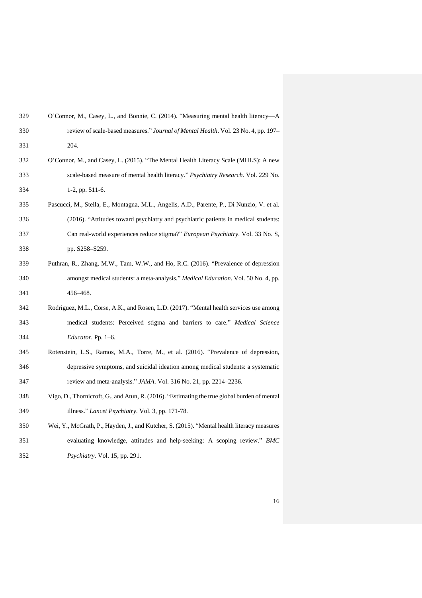| 329 | O'Connor, M., Casey, L., and Bonnie, C. (2014). "Measuring mental health literacy—A          |
|-----|----------------------------------------------------------------------------------------------|
| 330 | review of scale-based measures." Journal of Mental Health. Vol. 23 No. 4, pp. 197-           |
| 331 | 204.                                                                                         |
| 332 | O'Connor, M., and Casey, L. (2015). "The Mental Health Literacy Scale (MHLS): A new          |
| 333 | scale-based measure of mental health literacy." Psychiatry Research. Vol. 229 No.            |
| 334 | $1-2$ , pp. 511-6.                                                                           |
| 335 | Pascucci, M., Stella, E., Montagna, M.L., Angelis, A.D., Parente, P., Di Nunzio, V. et al.   |
| 336 | (2016). "Attitudes toward psychiatry and psychiatric patients in medical students:           |
| 337 | Can real-world experiences reduce stigma?" European Psychiatry. Vol. 33 No. S,               |
| 338 | pp. S258-S259.                                                                               |
| 339 | Puthran, R., Zhang, M.W., Tam, W.W., and Ho, R.C. (2016). "Prevalence of depression          |
| 340 | amongst medical students: a meta-analysis." Medical Education. Vol. 50 No. 4, pp.            |
| 341 | 456–468.                                                                                     |
| 342 | Rodriguez, M.L., Corse, A.K., and Rosen, L.D. (2017). "Mental health services use among      |
| 343 | medical students: Perceived stigma and barriers to care." Medical Science                    |
| 344 | Educator. Pp. 1-6.                                                                           |
| 345 | Rotenstein, L.S., Ramos, M.A., Torre, M., et al. (2016). "Prevalence of depression,          |
| 346 | depressive symptoms, and suicidal ideation among medical students: a systematic              |
| 347 | review and meta-analysis." JAMA. Vol. 316 No. 21, pp. 2214-2236.                             |
| 348 | Vigo, D., Thornicroft, G., and Atun, R. (2016). "Estimating the true global burden of mental |
| 349 | illness." Lancet Psychiatry. Vol. 3, pp. 171-78.                                             |
| 350 | Wei, Y., McGrath, P., Hayden, J., and Kutcher, S. (2015). "Mental health literacy measures   |
| 351 | evaluating knowledge, attitudes and help-seeking: A scoping review." BMC                     |
|     |                                                                                              |

*Psychiatry*. Vol. 15, pp. 291.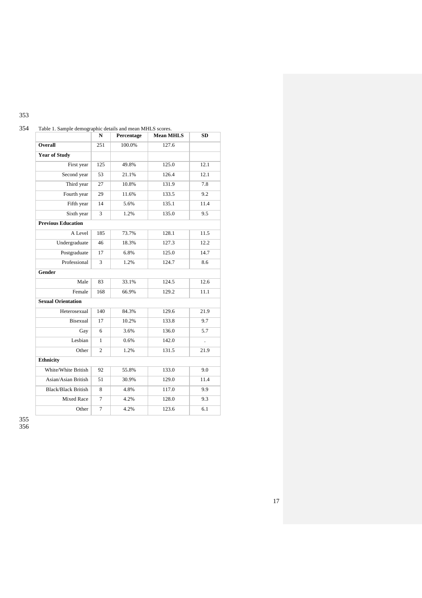| I<br>۰.<br>۰.<br>-<br>-<br>- |
|------------------------------|
|------------------------------|

|                            | N              | Percentage | <b>Mean MHLS</b> | <b>SD</b> |
|----------------------------|----------------|------------|------------------|-----------|
| Overall                    | 251            | 100.0%     | 127.6            |           |
| <b>Year of Study</b>       |                |            |                  |           |
| First year                 | 125            | 49.8%      | 125.0            | 12.1      |
| Second year                | 53             | 21.1%      | 126.4            | 12.1      |
| Third year                 | 27             | 10.8%      | 131.9            | 7.8       |
| Fourth year                | 29             | 11.6%      | 133.5            | 9.2       |
| Fifth year                 | 14             | 5.6%       | 135.1            | 11.4      |
| Sixth year                 | 3              | 1.2%       | 135.0            | 9.5       |
| <b>Previous Education</b>  |                |            |                  |           |
| A Level                    | 185            | 73.7%      | 128.1            | 11.5      |
| Undergraduate              | 46             | 18.3%      | 127.3            | 12.2      |
| Postgraduate               | 17             | 6.8%       | 125.0            | 14.7      |
| Professional               | 3              | 1.2%       | 124.7            | 8.6       |
| Gender                     |                |            |                  |           |
| Male                       | 83             | 33.1%      | 124.5            | 12.6      |
| Female                     | 168            | 66.9%      | 129.2            | 11.1      |
| <b>Sexual Orientation</b>  |                |            |                  |           |
| Heterosexual               | 140            | 84.3%      | 129.6            | 21.9      |
| Bisexual                   | 17             | 10.2%      | 133.8            | 9.7       |
| Gay                        | 6              | 3.6%       | 136.0            | 5.7       |
| Lesbian                    | 1              | 0.6%       | 142.0            | ÷.        |
| Other                      | $\overline{c}$ | 1.2%       | 131.5            | 21.9      |
| <b>Ethnicity</b>           |                |            |                  |           |
| White/White British        | 92             | 55.8%      | 133.0            | 9.0       |
| Asian/Asian British        | 51             | 30.9%      | 129.0            | 11.4      |
| <b>Black/Black British</b> | 8              | 4.8%       | 117.0            | 9.9       |
| <b>Mixed Race</b>          | $\overline{7}$ | 4.2%       | 128.0            | 9.3       |
| Other                      | $\overline{7}$ | 4.2%       | 123.6            | 6.1       |

# 354 Table 1. Sample demographic details and mean MHLS scores.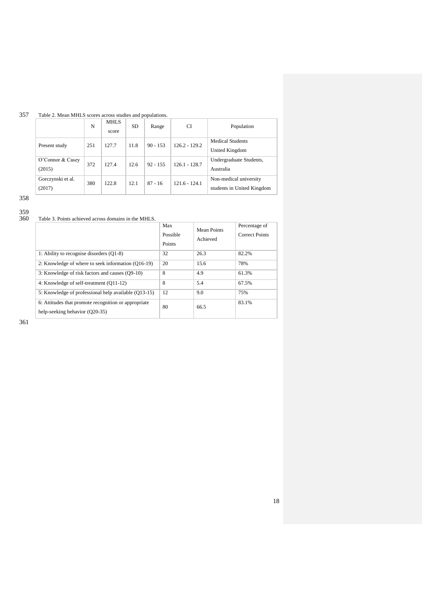## 357 Table 2. Mean MHLS scores across studies and populations.

|                             | N   | <b>MHLS</b><br>score | <b>SD</b> | Range      | CI              | Population                                           |
|-----------------------------|-----|----------------------|-----------|------------|-----------------|------------------------------------------------------|
| Present study               | 251 | 127.7                | 11.8      | $90 - 153$ | $126.2 - 129.2$ | <b>Medical Students</b><br>United Kingdom            |
| O'Connor & Casey<br>(2015)  | 372 | 127.4                | 12.6      | $92 - 155$ | $126.1 - 128.7$ | Undergraduate Students,<br>Australia                 |
| Gorczynski et al.<br>(2017) | 380 | 122.8                | 12.1      | $87 - 16$  | $121.6 - 124.1$ | Non-medical university<br>students in United Kingdom |

358

359

Table 3. Points achieved across domains in the MHLS.

|                                                                                        | Max<br>Possible<br>Points | Mean Points<br>Achieved | Percentage of<br><b>Correct Points</b> |
|----------------------------------------------------------------------------------------|---------------------------|-------------------------|----------------------------------------|
| 1: Ability to recognise disorders (Q1-8)                                               | 32                        | 26.3                    | 82.2%                                  |
| 2: Knowledge of where to seek information (Q16-19)                                     | 20                        | 15.6                    | 78%                                    |
| 3: Knowledge of risk factors and causes (Q9-10)                                        | 8                         | 4.9                     | 61.3%                                  |
| 4: Knowledge of self-treatment (Q11-12)                                                | 8                         | 5.4                     | 67.5%                                  |
| 5: Knowledge of professional help available (Q13-15)                                   | 12                        | 9.0                     | 75%                                    |
| 6: Attitudes that promote recognition or appropriate<br>help-seeking behavior (Q20-35) | 80                        | 66.5                    | 83.1%                                  |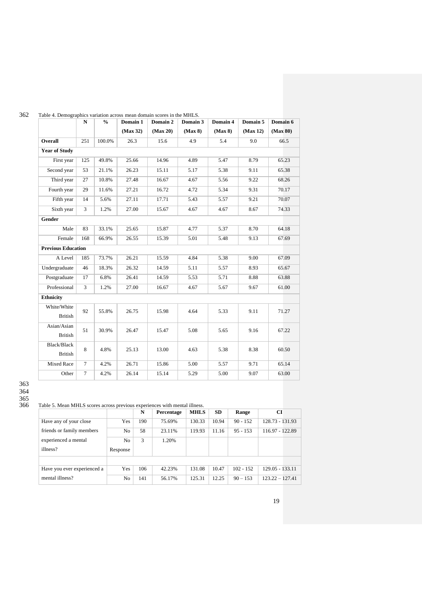|                           | N      | $\frac{0}{0}$ | Domain 1 | Domain 2 | Domain 3 | Domain 4 | Domain 5 | Domain 6 |
|---------------------------|--------|---------------|----------|----------|----------|----------|----------|----------|
|                           |        |               | (Max 32) | (Max 20) | (Max 8)  | (Max 8)  | (Max 12) | (Max 80) |
| Overall                   | 251    | 100.0%        | 26.3     | 15.6     | 4.9      | 5.4      | 9.0      | 66.5     |
| <b>Year of Study</b>      |        |               |          |          |          |          |          |          |
| First year                | 125    | 49.8%         | 25.66    | 14.96    | 4.89     | 5.47     | 8.79     | 65.23    |
| Second year               | 53     | 21.1%         | 26.23    | 15.11    | 5.17     | 5.38     | 9.11     | 65.38    |
| Third year                | 27     | 10.8%         | 27.48    | 16.67    | 4.67     | 5.56     | 9.22     | 68.26    |
| Fourth year               | 29     | 11.6%         | 27.21    | 16.72    | 4.72     | 5.34     | 9.31     | 70.17    |
| Fifth year                | 14     | 5.6%          | 27.11    | 17.71    | 5.43     | 5.57     | 9.21     | 70.07    |
| Sixth year                | 3      | 1.2%          | 27.00    | 15.67    | 4.67     | 4.67     | 8.67     | 74.33    |
| Gender                    |        |               |          |          |          |          |          |          |
| Male                      | 83     | 33.1%         | 25.65    | 15.87    | 4.77     | 5.37     | 8.70     | 64.18    |
| Female                    | 168    | 66.9%         | 26.55    | 15.39    | 5.01     | 5.48     | 9.13     | 67.69    |
| <b>Previous Education</b> |        |               |          |          |          |          |          |          |
| A Level                   | 185    | 73.7%         | 26.21    | 15.59    | 4.84     | 5.38     | 9.00     | 67.09    |
| Undergraduate             | 46     | 18.3%         | 26.32    | 14.59    | 5.11     | 5.57     | 8.93     | 65.67    |
| Postgraduate              | 17     | 6.8%          | 26.41    | 14.59    | 5.53     | 5.71     | 8.88     | 63.88    |
| Professional              | 3      | 1.2%          | 27.00    | 16.67    | 4.67     | 5.67     | 9.67     | 61.00    |
| <b>Ethnicity</b>          |        |               |          |          |          |          |          |          |
| White/White               |        |               |          |          |          |          |          |          |
| <b>British</b>            | 92     | 55.8%         | 26.75    | 15.98    | 4.64     | 5.33     | 9.11     | 71.27    |
| Asian/Asian               | 51     | 30.9%         | 26.47    | 15.47    | 5.08     | 5.65     | 9.16     | 67.22    |
| <b>British</b>            |        |               |          |          |          |          |          |          |
| Black/Black               | 8      | 4.8%          | 25.13    | 13.00    | 4.63     | 5.38     | 8.38     | 60.50    |
| <b>British</b>            |        |               |          |          |          |          |          |          |
| Mixed Race                | $\tau$ | 4.2%          | 26.71    | 15.86    | 5.00     | 5.57     | 9.71     | 65.14    |
| Other                     | $\tau$ | 4.2%          | 26.14    | 15.14    | 5.29     | 5.00     | 9.07     | 63.00    |

## 362 Table 4. Demographics variation across mean domain scores in the MHLS.

## Table 5. Mean MHLS scores across previous experiences with mental illness.

|                             |                | N   | Percentage | <b>MHLS</b> | <b>SD</b> | Range       | CI                |
|-----------------------------|----------------|-----|------------|-------------|-----------|-------------|-------------------|
| Have any of your close      | Yes            | 190 | 75.69%     | 130.33      | 10.94     | $90 - 152$  | 128.73 - 131.93   |
| friends or family members   | No.            | 58  | 23.11%     | 119.93      | 11.16     | $95 - 153$  | 116.97 - 122.89   |
| experienced a mental        | N <sub>o</sub> | 3   | 1.20%      |             |           |             |                   |
| illness?                    | Response       |     |            |             |           |             |                   |
|                             |                |     |            |             |           |             |                   |
| Have you ever experienced a | Yes            | 106 | 42.23%     | 131.08      | 10.47     | $102 - 152$ | 129.05 - 133.11   |
| mental illness?             | No             | 141 | 56.17%     | 125.31      | 12.25     | $90 - 153$  | $123.22 - 127.41$ |

<sup>363</sup> 364 365